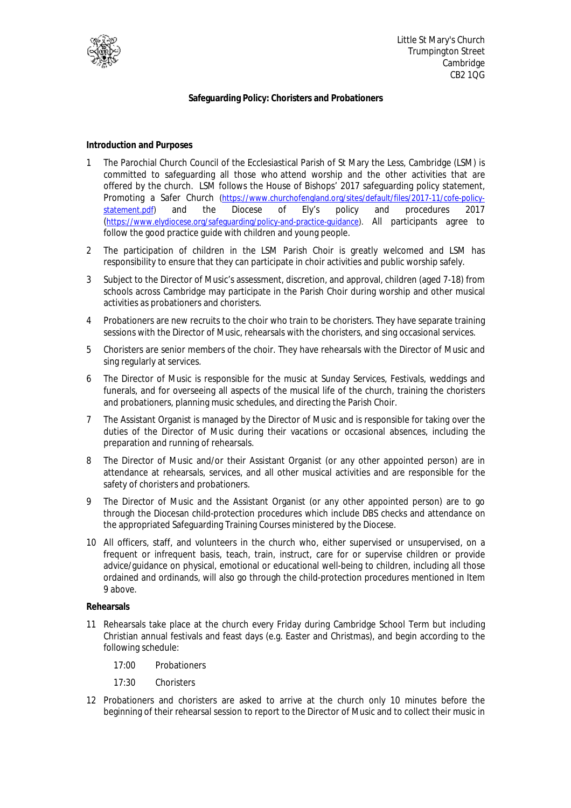

## **Safeguarding Policy: Choristers and Probationers**

**Introduction and Purposes** 

- 1 The Parochial Church Council of the Ecclesiastical Parish of St Mary the Less, Cambridge (LSM) is committed to safeguarding all those who attend worship and the other activities that are offered by the church. LSM follows the House of Bishops' 2017 safeguarding policy statement, Promoting a Safer Church (https://www.churchofengland.org/sites/default/files/2017-11/cofe-policystatement.pdf) and the Diocese of Ely's policy and procedures 2017 (https://www.elydiocese.org/safeguarding/policy-and-practice-guidance). All participants agree to follow the good practice guide with children and young people.
- 2 The participation of children in the LSM Parish Choir is greatly welcomed and LSM has responsibility to ensure that they can participate in choir activities and public worship safely.
- 3 Subject to the Director of Music's assessment, discretion, and approval, children (aged 7-18) from schools across Cambridge may participate in the Parish Choir during worship and other musical activities as probationers and choristers.
- 4 Probationers are new recruits to the choir who train to be choristers. They have separate training sessions with the Director of Music, rehearsals with the choristers, and sing occasional services.
- 5 Choristers are senior members of the choir. They have rehearsals with the Director of Music and sing regularly at services.
- 6 The Director of Music is responsible for the music at Sunday Services, Festivals, weddings and funerals, and for overseeing all aspects of the musical life of the church, training the choristers and probationers, planning music schedules, and directing the Parish Choir.
- 7 The Assistant Organist is managed by the Director of Music and is responsible for taking over the duties of the Director of Music during their vacations or occasional absences, including the preparation and running of rehearsals.
- 8 The Director of Music and/or their Assistant Organist (or any other appointed person) are in attendance at rehearsals, services, and all other musical activities and are responsible for the safety of choristers and probationers.
- 9 The Director of Music and the Assistant Organist (or any other appointed person) are to go through the Diocesan child-protection procedures which include DBS checks and attendance on the appropriated Safeguarding Training Courses ministered by the Diocese.
- 10 All officers, staff, and volunteers in the church who, either supervised or unsupervised, on a frequent or infrequent basis, teach, train, instruct, care for or supervise children or provide advice/guidance on physical, emotional or educational well-being to children, including all those ordained and ordinands, will also go through the child-protection procedures mentioned in Item 9 above.

## **Rehearsals**

- 11 Rehearsals take place at the church every Friday during Cambridge School Term but including Christian annual festivals and feast days (e.g. Easter and Christmas), and begin according to the following schedule:
	- 17:00 Probationers
	- 17:30 Choristers
- 12 Probationers and choristers are asked to arrive at the church only 10 minutes before the beginning of their rehearsal session to report to the Director of Music and to collect their music in